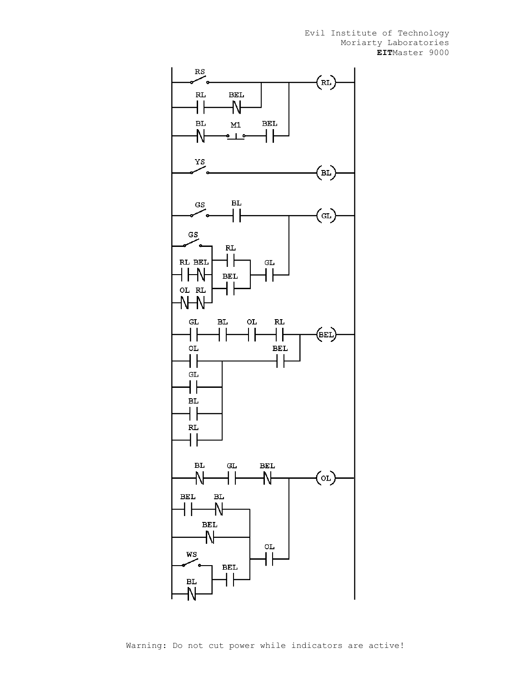